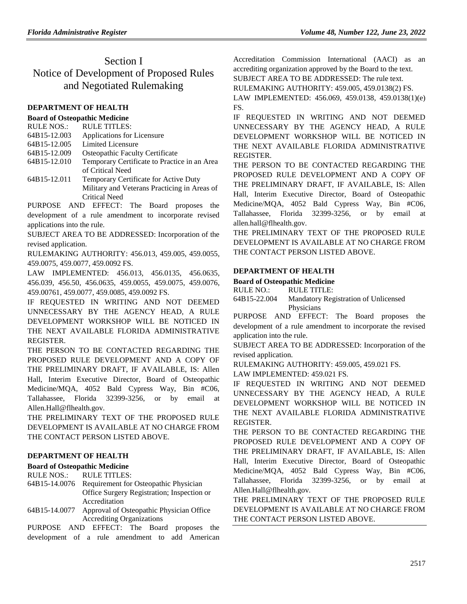# Section I Notice of Development of Proposed Rules and Negotiated Rulemaking

### **[DEPARTMENT OF HEALTH](https://www.flrules.org/gateway/department.asp?id=64)**

#### **[Board of Osteopathic Medicine](https://www.flrules.org/gateway/organization.asp?id=306)**

| <b>RULE NOS.:</b> | <b>RULE TITLES:</b> |
|-------------------|---------------------|
|                   |                     |

- [64B15-12.003](https://www.flrules.org/gateway/ruleNo.asp?id=64B15-12.003) Applications for Licensure
- [64B15-12.005](https://www.flrules.org/gateway/ruleNo.asp?id=64B15-12.005) Limited Licensure
- [64B15-12.009](https://www.flrules.org/gateway/ruleNo.asp?id=64B15-12.009) Osteopathic Faculty Certificate
- [64B15-12.010](https://www.flrules.org/gateway/ruleNo.asp?id=64B15-12.010) Temporary Certificate to Practice in an Area of Critical Need
- [64B15-12.011](https://www.flrules.org/gateway/ruleNo.asp?id=64B15-12.011) Temporary Certificate for Active Duty Military and Veterans Practicing in Areas of Critical Need

PURPOSE AND EFFECT: The Board proposes the development of a rule amendment to incorporate revised applications into the rule.

SUBJECT AREA TO BE ADDRESSED: Incorporation of the revised application.

RULEMAKING AUTHORITY: [456.013,](https://www.flrules.org/gateway/statute.asp?id=456.013) [459.005,](https://www.flrules.org/gateway/statute.asp?id=%20459.005) [459.0055,](https://www.flrules.org/gateway/statute.asp?id=%20459.0055) [459.0075,](https://www.flrules.org/gateway/statute.asp?id=%20459.0075) [459.0077,](https://www.flrules.org/gateway/statute.asp?id=%20459.0077) [459.0092 FS.](https://www.flrules.org/gateway/statute.asp?id=%20459.0092%20FS.)

LAW IMPLEMENTED: [456.013,](https://www.flrules.org/gateway/statute.asp?id=456.013) [456.0135,](https://www.flrules.org/gateway/statute.asp?id=%20456.0135) [456.0635,](https://www.flrules.org/gateway/statute.asp?id=%20%20456.0635) [456.039,](https://www.flrules.org/gateway/statute.asp?id=%20456.039) [456.50,](https://www.flrules.org/gateway/statute.asp?id=%20456.50) [456.0635,](https://www.flrules.org/gateway/statute.asp?id=%20456.0635) [459.0055,](https://www.flrules.org/gateway/statute.asp?id=%20459.0055) [459.0075,](https://www.flrules.org/gateway/statute.asp?id=%20459.0075) [459.0076,](https://www.flrules.org/gateway/statute.asp?id=%20459.0076) [459.00761,](https://www.flrules.org/gateway/statute.asp?id=%20459.00761) [459.0077,](https://www.flrules.org/gateway/statute.asp?id=%20459.0077) [459.0085,](https://www.flrules.org/gateway/statute.asp?id=%20459.0085) [459.0092 FS.](https://www.flrules.org/gateway/statute.asp?id=%20459.0092%20FS.)

IF REQUESTED IN WRITING AND NOT DEEMED UNNECESSARY BY THE AGENCY HEAD, A RULE DEVELOPMENT WORKSHOP WILL BE NOTICED IN THE NEXT AVAILABLE FLORIDA ADMINISTRATIVE REGISTER.

THE PERSON TO BE CONTACTED REGARDING THE PROPOSED RULE DEVELOPMENT AND A COPY OF THE PRELIMINARY DRAFT, IF AVAILABLE, IS: Allen Hall, Interim Executive Director, Board of Osteopathic Medicine/MQA, 4052 Bald Cypress Way, Bin #C06, Tallahassee, Florida 32399-3256, or by email at Allen.Hall@flhealth.gov.

THE PRELIMINARY TEXT OF THE PROPOSED RULE DEVELOPMENT IS AVAILABLE AT NO CHARGE FROM THE CONTACT PERSON LISTED ABOVE.

#### **[DEPARTMENT OF HEALTH](https://www.flrules.org/gateway/department.asp?id=64)**

**[Board of Osteopathic Medicine](https://www.flrules.org/gateway/organization.asp?id=306)**

RULE NOS.: RULE TITLES:

[64B15-14.0076](https://www.flrules.org/gateway/ruleNo.asp?id=64B15-14.0076) Requirement for Osteopathic Physician Office Surgery Registration; Inspection or Accreditation

[64B15-14.0077](https://www.flrules.org/gateway/ruleNo.asp?id=64B15-14.0077) Approval of Osteopathic Physician Office Accrediting Organizations

PURPOSE AND EFFECT: The Board proposes the development of a rule amendment to add American Accreditation Commission International (AACI) as an accrediting organization approved by the Board to the text. SUBJECT AREA TO BE ADDRESSED: The rule text.

RULEMAKING AUTHORITY: [459.005,](https://www.flrules.org/gateway/statute.asp?id=459.005) [459.0138\(2\) FS.](https://www.flrules.org/gateway/statute.asp?id=%20%20459.0138(2)%20FS.)

LAW IMPLEMENTED: [456.069,](https://www.flrules.org/gateway/statute.asp?id=456.069) [459.0138,](https://www.flrules.org/gateway/statute.asp?id=%20459.0138) [459.0138\(1\)\(e\)](https://www.flrules.org/gateway/statute.asp?id=%20459.0138(1)(e)%20FS.)  [FS.](https://www.flrules.org/gateway/statute.asp?id=%20459.0138(1)(e)%20FS.)

IF REQUESTED IN WRITING AND NOT DEEMED UNNECESSARY BY THE AGENCY HEAD, A RULE DEVELOPMENT WORKSHOP WILL BE NOTICED IN THE NEXT AVAILABLE FLORIDA ADMINISTRATIVE REGISTER.

THE PERSON TO BE CONTACTED REGARDING THE PROPOSED RULE DEVELOPMENT AND A COPY OF THE PRELIMINARY DRAFT, IF AVAILABLE, IS: Allen Hall, Interim Executive Director, Board of Osteopathic Medicine/MQA, 4052 Bald Cypress Way, Bin #C06, Tallahassee, Florida 32399-3256, or by email at allen.hall@flhealth.gov.

THE PRELIMINARY TEXT OF THE PROPOSED RULE DEVELOPMENT IS AVAILABLE AT NO CHARGE FROM THE CONTACT PERSON LISTED ABOVE.

### **[DEPARTMENT OF HEALTH](https://www.flrules.org/gateway/department.asp?id=64)**

### **[Board of Osteopathic Medicine](https://www.flrules.org/gateway/organization.asp?id=306)**

RULE NO.: RULE TITLE:

[64B15-22.004](https://www.flrules.org/gateway/ruleNo.asp?id=64B15-22.004) Mandatory Registration of Unlicensed Physicians

PURPOSE AND EFFECT: The Board proposes the development of a rule amendment to incorporate the revised application into the rule.

SUBJECT AREA TO BE ADDRESSED: Incorporation of the revised application.

RULEMAKING AUTHORITY: [459.005,](https://www.flrules.org/gateway/statute.asp?id=459.005) [459.021 FS.](https://www.flrules.org/gateway/statute.asp?id=%20459.021%20FS.)

LAW IMPLEMENTED: [459.021 FS.](https://www.flrules.org/gateway/statute.asp?id=459.021%20FS.)

IF REQUESTED IN WRITING AND NOT DEEMED UNNECESSARY BY THE AGENCY HEAD, A RULE DEVELOPMENT WORKSHOP WILL BE NOTICED IN THE NEXT AVAILABLE FLORIDA ADMINISTRATIVE REGISTER.

THE PERSON TO BE CONTACTED REGARDING THE PROPOSED RULE DEVELOPMENT AND A COPY OF THE PRELIMINARY DRAFT, IF AVAILABLE, IS: Allen Hall, Interim Executive Director, Board of Osteopathic Medicine/MQA, 4052 Bald Cypress Way, Bin #C06, Tallahassee, Florida 32399-3256, or by email at Allen.Hall@flhealth.gov.

THE PRELIMINARY TEXT OF THE PROPOSED RULE DEVELOPMENT IS AVAILABLE AT NO CHARGE FROM THE CONTACT PERSON LISTED ABOVE.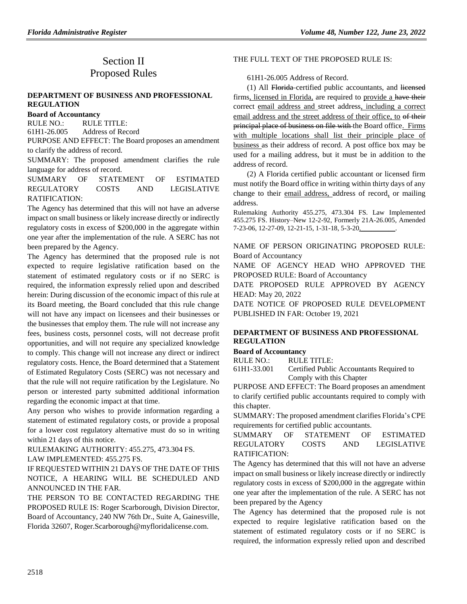# Section II Proposed Rules

#### **[DEPARTMENT OF BUSINESS AND PROFESSIONAL](https://www.flrules.org/gateway/department.asp?id=61)  [REGULATION](https://www.flrules.org/gateway/department.asp?id=61)**

#### **[Board of Accountancy](https://www.flrules.org/gateway/organization.asp?id=280)**

RULE NO.: RULE TITLE: [61H1-26.005](https://www.flrules.org/gateway/ruleNo.asp?id=61H1-26.005) Address of Record PURPOSE AND EFFECT: The Board proposes an amendment

to clarify the address of record.

SUMMARY: The proposed amendment clarifies the rule language for address of record.

SUMMARY OF STATEMENT OF ESTIMATED REGULATORY COSTS AND LEGISLATIVE RATIFICATION:

The Agency has determined that this will not have an adverse impact on small business or likely increase directly or indirectly regulatory costs in excess of \$200,000 in the aggregate within one year after the implementation of the rule. A SERC has not been prepared by the Agency.

The Agency has determined that the proposed rule is not expected to require legislative ratification based on the statement of estimated regulatory costs or if no SERC is required, the information expressly relied upon and described herein: During discussion of the economic impact of this rule at its Board meeting, the Board concluded that this rule change will not have any impact on licensees and their businesses or the businesses that employ them. The rule will not increase any fees, business costs, personnel costs, will not decrease profit opportunities, and will not require any specialized knowledge to comply. This change will not increase any direct or indirect regulatory costs. Hence, the Board determined that a Statement of Estimated Regulatory Costs (SERC) was not necessary and that the rule will not require ratification by the Legislature. No person or interested party submitted additional information regarding the economic impact at that time.

Any person who wishes to provide information regarding a statement of estimated regulatory costs, or provide a proposal for a lower cost regulatory alternative must do so in writing within 21 days of this notice.

RULEMAKING AUTHORITY: [455.275,](https://www.flrules.org/gateway/statute.asp?id=455.275) [473.304 FS.](https://www.flrules.org/gateway/statute.asp?id=%20473.304%20FS.)

LAW IMPLEMENTED: [455.275 FS.](https://www.flrules.org/gateway/statute.asp?id=455.275%20FS.)

## IF REQUESTED WITHIN 21 DAYS OF THE DATE OF THIS NOTICE, A HEARING WILL BE SCHEDULED AND ANNOUNCED IN THE FAR.

THE PERSON TO BE CONTACTED REGARDING THE PROPOSED RULE IS: Roger Scarborough, Division Director, Board of Accountancy, 240 NW 76th Dr., Suite A, Gainesville, Florida 32607, Roger.Scarborough@myfloridalicense.com.

#### THE FULL TEXT OF THE PROPOSED RULE IS:

#### 61H1-26.005 Address of Record.

(1) All Florida certified public accountants, and licensed firms, licensed in Florida, are required to provide a have their correct email address and street address, including a correct email address and the street address of their office, to of their principal place of business on file with the Board office. Firms with multiple locations shall list their principle place of business as their address of record. A post office box may be used for a mailing address, but it must be in addition to the address of record.

(2) A Florida certified public accountant or licensed firm must notify the Board office in writing within thirty days of any change to their email address, address of record, or mailing address.

Rulemaking Authority 455.275, 473.304 FS. Law Implemented 455.275 FS. History–New 12-2-92, Formerly 21A-26.005, Amended 7-23-06, 12-27-09, 12-21-15, 1-31-18, 5-3-20,

NAME OF PERSON ORIGINATING PROPOSED RULE: Board of Accountancy

NAME OF AGENCY HEAD WHO APPROVED THE PROPOSED RULE: Board of Accountancy

DATE PROPOSED RULE APPROVED BY AGENCY HEAD: May 20, 2022

DATE NOTICE OF PROPOSED RULE DEVELOPMENT PUBLISHED IN FAR: October 19, 2021

### **DEPARTMENT OF [BUSINESS AND PROFESSIONAL](https://www.flrules.org/gateway/department.asp?id=61)  [REGULATION](https://www.flrules.org/gateway/department.asp?id=61)**

#### **[Board of Accountancy](https://www.flrules.org/gateway/organization.asp?id=280)**

RULE NO.: RULE TITLE:

[61H1-33.001](https://www.flrules.org/gateway/ruleNo.asp?id=61H1-33.001) Certified Public Accountants Required to Comply with this Chapter

PURPOSE AND EFFECT: The Board proposes an amendment to clarify certified public accountants required to comply with this chapter.

SUMMARY: The proposed amendment clarifies Florida's CPE requirements for certified public accountants.

SUMMARY OF STATEMENT OF ESTIMATED REGULATORY COSTS AND LEGISLATIVE RATIFICATION:

The Agency has determined that this will not have an adverse impact on small business or likely increase directly or indirectly regulatory costs in excess of \$200,000 in the aggregate within one year after the implementation of the rule. A SERC has not been prepared by the Agency

The Agency has determined that the proposed rule is not expected to require legislative ratification based on the statement of estimated regulatory costs or if no SERC is required, the information expressly relied upon and described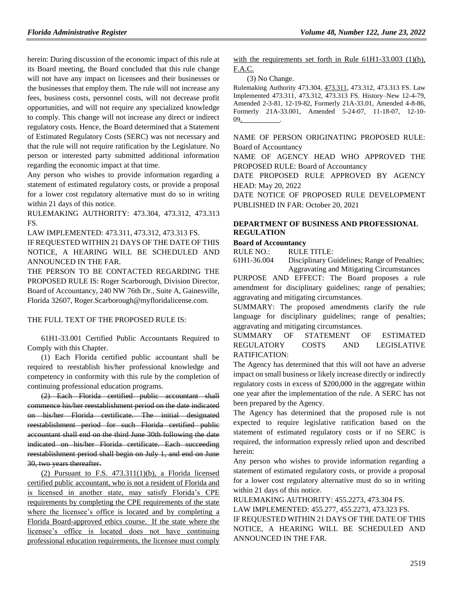herein: During discussion of the economic impact of this rule at its Board meeting, the Board concluded that this rule change will not have any impact on licensees and their businesses or the businesses that employ them. The rule will not increase any fees, business costs, personnel costs, will not decrease profit opportunities, and will not require any specialized knowledge to comply. This change will not increase any direct or indirect regulatory costs. Hence, the Board determined that a Statement of Estimated Regulatory Costs (SERC) was not necessary and that the rule will not require ratification by the Legislature. No person or interested party submitted additional information regarding the economic impact at that time.

Any person who wishes to provide information regarding a statement of estimated regulatory costs, or provide a proposal for a lower cost regulatory alternative must do so in writing within 21 days of this notice.

RULEMAKING AUTHORITY: [473.304,](https://www.flrules.org/gateway/statute.asp?id=473.304) [473.312,](https://www.flrules.org/gateway/statute.asp?id=%20473.312) [473.313](https://www.flrules.org/gateway/statute.asp?id=%20473.313%20FS.)  [FS.](https://www.flrules.org/gateway/statute.asp?id=%20473.313%20FS.)

LAW IMPLEMENTED: [473.311,](https://www.flrules.org/gateway/statute.asp?id=473.311) [473.312,](https://www.flrules.org/gateway/statute.asp?id=%20473.312) [473.313 FS.](https://www.flrules.org/gateway/statute.asp?id=%20473.313%20FS.)

IF REQUESTED WITHIN 21 DAYS OF THE DATE OF THIS NOTICE, A HEARING WILL BE SCHEDULED AND ANNOUNCED IN THE FAR.

THE PERSON TO BE CONTACTED REGARDING THE PROPOSED RULE IS: Roger Scarborough, Division Director, Board of Accountancy, 240 NW 76th Dr., Suite A, Gainesville, Florida 32607, Roger.Scarborough@myfloridalicense.com.

#### THE FULL TEXT OF THE PROPOSED RULE IS:

61H1-33.001 Certified Public Accountants Required to Comply with this Chapter.

(1) Each Florida certified public accountant shall be required to reestablish his/her professional knowledge and competency in conformity with this rule by the completion of continuing professional education programs.

(2) Each Florida certified public accountant shall commence his/her reestablishment period on the date indicated on his/her Florida certificate. The initial designated reestablishment period for such Florida certified public accountant shall end on the third June 30th following the date indicated on his/her Florida certificate. Each succeeding reestablishment period shall begin on July 1, and end on June 30, two years thereafter.

(2) Pursuant to F.S.  $473.311(1)(b)$ , a Florida licensed certified public accountant, who is not a resident of Florida and is licensed in another state, may satisfy Florida's CPE requirements by completing the CPE requirements of the state where the licensee's office is located and by completing a Florida Board-approved ethics course. If the state where the licensee's office is located does not have continuing professional education requirements, the licensee must comply with the requirements set forth in Rule 61H1-33.003 (1)(b), F.A.C.

(3) No Change.

Rulemaking Authority 473.304, 473.311, 473.312, 473.313 FS. Law Implemented 473.311, 473.312, 473.313 FS. History–New 12-4-79, Amended 2-3-81, 12-19-82, Formerly 21A-33.01, Amended 4-8-86, Formerly 21A-33.001, Amended 5-24-07, 11-18-07, 12-10- 09, .

NAME OF PERSON ORIGINATING PROPOSED RULE: Board of Accountancy

NAME OF AGENCY HEAD WHO APPROVED THE PROPOSED RULE: Board of Accountancy

DATE PROPOSED RULE APPROVED BY AGENCY HEAD: May 20, 2022

DATE NOTICE OF PROPOSED RULE DEVELOPMENT PUBLISHED IN FAR: October 20, 2021

#### **[DEPARTMENT OF BUSINESS AND PROFESSIONAL](https://www.flrules.org/gateway/department.asp?id=61)  [REGULATION](https://www.flrules.org/gateway/department.asp?id=61)**

#### **[Board of Accountancy](https://www.flrules.org/gateway/organization.asp?id=280)**

RULE NO.: RULE TITLE:

[61H1-36.004](https://www.flrules.org/gateway/ruleNo.asp?id=61H1-36.004) Disciplinary Guidelines; Range of Penalties; Aggravating and Mitigating Circumstances

PURPOSE AND EFFECT: The Board proposes a rule amendment for disciplinary guidelines; range of penalties; aggravating and mitigating circumstances.

SUMMARY: The proposed amendments clarify the rule language for disciplinary guidelines; range of penalties; aggravating and mitigating circumstances.

SUMMARY OF STATEMENT OF ESTIMATED REGULATORY COSTS AND LEGISLATIVE RATIFICATION:

The Agency has determined that this will not have an adverse impact on small business or likely increase directly or indirectly regulatory costs in excess of \$200,000 in the aggregate within one year after the implementation of the rule. A SERC has not been prepared by the Agency.

The Agency has determined that the proposed rule is not expected to require legislative ratification based on the statement of estimated regulatory costs or if no SERC is required, the information expressly relied upon and described herein:

Any person who wishes to provide information regarding a statement of estimated regulatory costs, or provide a proposal for a lower cost regulatory alternative must do so in writing within 21 days of this notice.

RULEMAKING AUTHORITY: [455.2273,](https://www.flrules.org/gateway/statute.asp?id=455.2273) [473.304 FS.](https://www.flrules.org/gateway/statute.asp?id=%20473.304%20FS.)

LAW IMPLEMENTED: [455.277,](https://www.flrules.org/gateway/statute.asp?id=455.277) [455.2273,](https://www.flrules.org/gateway/statute.asp?id=%20455.2273) [473.323 FS.](https://www.flrules.org/gateway/statute.asp?id=%20473.323%20FS.)

IF REQUESTED WITHIN 21 DAYS OF THE DATE OF THIS NOTICE, A HEARING WILL BE SCHEDULED AND ANNOUNCED IN THE FAR.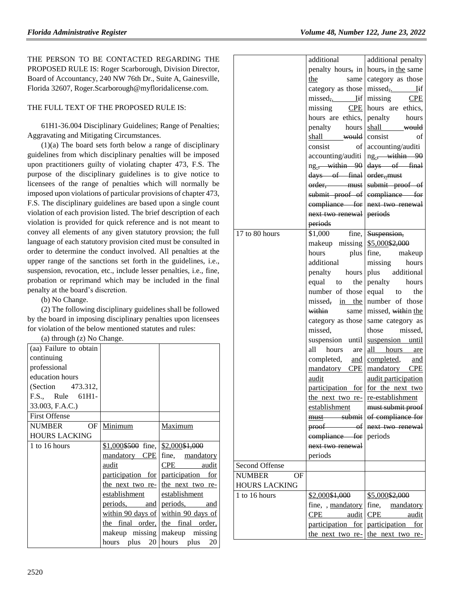THE PERSON TO BE CONTACTED REGARDING THE PROPOSED RULE IS: Roger Scarborough, Division Director, Board of Accountancy, 240 NW 76th Dr., Suite A, Gainesville, Florida 32607, Roger.Scarborough@myfloridalicense.com.

## THE FULL TEXT OF THE PROPOSED RULE IS:

61H1-36.004 Disciplinary Guidelines; Range of Penalties; Aggravating and Mitigating Circumstances.

 $(1)(a)$  The board sets forth below a range of disciplinary guidelines from which disciplinary penalties will be imposed upon practitioners guilty of violating chapter 473, F.S. The purpose of the disciplinary guidelines is to give notice to licensees of the range of penalties which will normally be imposed upon violations of particular provisions of chapter 473, F.S. The disciplinary guidelines are based upon a single count violation of each provision listed. The brief description of each violation is provided for quick reference and is not meant to convey all elements of any given statutory provsion; the full language of each statutory provision cited must be consulted in order to determine the conduct involved. All penalties at the upper range of the sanctions set forth in the guidelines, i.e., suspension, revocation, etc., include lesser penalties, i.e., fine, probation or reprimand which may be included in the final penalty at the board's discretion.

(b) No Change.

(2) The following disciplinary guidelines shall be followed by the board in imposing disciplinary penalties upon licensees for violation of the below mentioned statutes and rules:

(a) through (z) No Change.

| - - - - - - - - - - - - - |                                         |                                     |
|---------------------------|-----------------------------------------|-------------------------------------|
| (aa) Failure to obtain    |                                         |                                     |
| continuing                |                                         |                                     |
| professional              |                                         |                                     |
| education hours           |                                         |                                     |
| (Section 473.312,         |                                         |                                     |
| F.S., Rule 61H1-          |                                         |                                     |
| 33.003, F.A.C.)           |                                         |                                     |
| <b>First Offense</b>      |                                         |                                     |
| OF<br><b>NUMBER</b>       | Minimum                                 | Maximum                             |
| <b>HOURS LACKING</b>      |                                         |                                     |
| 1 to 16 hours             | $$1,000$$ \$500 fine, $$2,000$$ \$1,000 |                                     |
|                           |                                         | mandatory CPE fine, mandatory       |
|                           | audit                                   | CPE audit                           |
|                           |                                         | participation for participation for |
|                           |                                         | the next two re- the next two re-   |
|                           | establishment establishment             |                                     |
|                           |                                         | periods, and periods, and           |
|                           |                                         | within 90 days of within 90 days of |
|                           |                                         | the final order, the final order,   |
|                           |                                         | makeup missing makeup missing       |
|                           | hours plus 20 hours plus                | 20                                  |

|                      | additional                        | additional penalty         |
|----------------------|-----------------------------------|----------------------------|
|                      | penalty hours, in                 | hours, in the same         |
|                      | the<br>same l                     | category as those          |
|                      | category as those                 | missed,.<br>Iif            |
|                      | missed,.<br>Iif                   | missing<br>CPE             |
|                      | missing CPE                       | hours are ethics,          |
|                      | hours are ethics,                 | penalty hours              |
|                      | penalty hours                     | shall would                |
|                      | shall <del>would</del>            | consist<br>of              |
|                      | consist<br>of                     | accounting/auditi          |
|                      | accounting/auditi                 | ng. <del>, within 90</del> |
|                      | ng. <del>, within 90</del>        | days of final              |
|                      | days of final                     | order, must                |
|                      | order, must                       | submit proof of            |
|                      | submit proof of                   | compliance for             |
|                      | compliance for                    | next two renewal           |
|                      | next two renewal                  | periods                    |
|                      | periods                           |                            |
| 17 to 80 hours       | \$1,000<br>fine,                  | Suspension,                |
|                      | makeup missing                    | \$5,000\$2,000             |
|                      | hours<br>plus                     | fine, makeup               |
|                      | additional                        | missing<br>hours           |
|                      | penalty hours                     | plus additional            |
|                      | the  <br>equal<br>to              | penalty<br>hours           |
|                      | number of those                   | equal to<br>the            |
|                      | missed, in the                    | number of those            |
|                      | within<br>same                    | missed, within the         |
|                      | category as those                 | same category as           |
|                      | missed,                           | those missed,              |
|                      | suspension until                  | suspension until           |
|                      | hours<br>all<br>are               | all hours are              |
|                      | completed, and                    | completed, and             |
|                      | mandatory CPE                     | mandatory CPE              |
|                      | audit                             | audit participation        |
|                      | participation for                 | for the next two           |
|                      |                                   | re-establishment           |
|                      | the next two re-<br>establishment | must submit proof          |
|                      | must submit                       | of compliance for          |
|                      | proof of                          | next two renewal           |
|                      | compliance for                    | periods                    |
|                      | next two renewal                  |                            |
|                      | periods                           |                            |
| Second Offense       |                                   |                            |
| <b>NUMBER</b><br>OF  |                                   |                            |
| <b>HOURS LACKING</b> |                                   |                            |
| 1 to 16 hours        | \$2,000\$1,000                    | \$5,000\$2,000             |
|                      | fine, , mandatory                 | fine,<br>mandatory         |
|                      | $\rm{CPE}$<br>audit               | CPE<br>audit               |
|                      | participation for                 | participation<br>for       |
|                      | the next two re-                  | the next two re-           |
|                      |                                   |                            |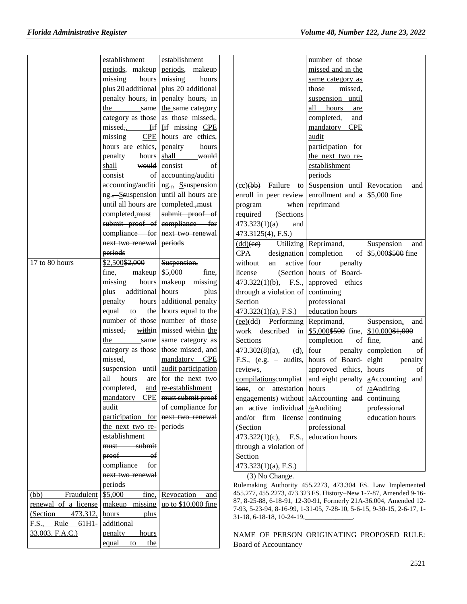|                        | establishment                        | establishment                                             |                                    |                                                 | number of those                                                   |                                                                                                                                                                                                                                                                                                     |
|------------------------|--------------------------------------|-----------------------------------------------------------|------------------------------------|-------------------------------------------------|-------------------------------------------------------------------|-----------------------------------------------------------------------------------------------------------------------------------------------------------------------------------------------------------------------------------------------------------------------------------------------------|
|                        |                                      | periods, makeup periods, makeup                           |                                    |                                                 | missed and in the                                                 |                                                                                                                                                                                                                                                                                                     |
|                        | missing                              | hours missing<br>hours                                    |                                    |                                                 | same category as                                                  |                                                                                                                                                                                                                                                                                                     |
|                        |                                      | plus 20 additional plus 20 additional                     |                                    |                                                 | those<br>missed,                                                  |                                                                                                                                                                                                                                                                                                     |
|                        |                                      | penalty hours, in penalty hours, in                       |                                    |                                                 | suspension until                                                  |                                                                                                                                                                                                                                                                                                     |
|                        | the                                  | same the same category                                    |                                    |                                                 | all hours<br>are                                                  |                                                                                                                                                                                                                                                                                                     |
|                        |                                      | category as those as those missed <sub>3</sub> .          |                                    |                                                 | completed,<br>and                                                 |                                                                                                                                                                                                                                                                                                     |
|                        |                                      | missed, lif lif missing CPE                               |                                    |                                                 | mandatory<br><b>CPE</b>                                           |                                                                                                                                                                                                                                                                                                     |
|                        | missing                              | $CPE$ hours are ethics,                                   |                                    |                                                 | audit                                                             |                                                                                                                                                                                                                                                                                                     |
|                        | hours are ethics, penalty            | hours                                                     |                                    |                                                 | participation for                                                 |                                                                                                                                                                                                                                                                                                     |
|                        | penalty                              | hours shall<br>would                                      |                                    |                                                 | the next two re-                                                  |                                                                                                                                                                                                                                                                                                     |
|                        | shall                                | would consist<br>of                                       |                                    |                                                 | establishment                                                     |                                                                                                                                                                                                                                                                                                     |
|                        | consist                              | of accounting/auditi                                      |                                    |                                                 | periods                                                           |                                                                                                                                                                                                                                                                                                     |
|                        |                                      | $accounting/auditi$ ng.,, Ssuspension                     |                                    |                                                 | $(cc)(bb)$ Failure to Suspension until Revocation                 | and                                                                                                                                                                                                                                                                                                 |
|                        |                                      | ng.,-Ssuspension until all hours are                      |                                    |                                                 | enroll in peer review enrollment and a $\frac{1}{5,000}$ fine     |                                                                                                                                                                                                                                                                                                     |
|                        | until all hours are completed., must |                                                           | program                            |                                                 | when reprimand                                                    |                                                                                                                                                                                                                                                                                                     |
|                        |                                      | completed must submit proof of                            | required                           | (Sections)                                      |                                                                   |                                                                                                                                                                                                                                                                                                     |
|                        |                                      | submit proof of compliance for                            | 473.323(1)(a)                      | and                                             |                                                                   |                                                                                                                                                                                                                                                                                                     |
|                        |                                      | compliance for next two renewal                           | 473.3125(4), F.S.)                 |                                                 |                                                                   |                                                                                                                                                                                                                                                                                                     |
|                        | next two renewal periods             |                                                           | $\frac{\text{(dd)}\text{(ee)}}{ }$ |                                                 | Utilizing Reprimand,                                              | Suspension<br>and                                                                                                                                                                                                                                                                                   |
|                        | periods                              |                                                           | <b>CPA</b>                         |                                                 | designation completion                                            | of \$5,000\$500 fine                                                                                                                                                                                                                                                                                |
| 17 to 80 hours         | \$2,500\$2,000                       | Suspension,                                               | without                            | active four<br>an                               | penalty                                                           |                                                                                                                                                                                                                                                                                                     |
|                        | makeup $\frac{1}{5,000}$<br>fine,    | fine,                                                     | license                            |                                                 | (Section hours of Board-                                          |                                                                                                                                                                                                                                                                                                     |
|                        | missing                              | hours   makeup missing                                    |                                    |                                                 | $473.322(1)(b)$ , F.S., approved ethics                           |                                                                                                                                                                                                                                                                                                     |
|                        | additional hours<br>plus             | plus                                                      |                                    |                                                 |                                                                   |                                                                                                                                                                                                                                                                                                     |
|                        |                                      | hours additional penalty                                  | Section                            | through a violation of continuing               |                                                                   |                                                                                                                                                                                                                                                                                                     |
|                        | penalty                              |                                                           |                                    |                                                 | professional                                                      |                                                                                                                                                                                                                                                                                                     |
|                        | equal<br>to                          | the hours equal to the<br>number of those number of those |                                    | $473.323(1)(a)$ , F.S.)                         | education hours                                                   |                                                                                                                                                                                                                                                                                                     |
|                        |                                      |                                                           |                                    | $(ee)(dd)$ Performing Reprimand,                |                                                                   | Suspension, and                                                                                                                                                                                                                                                                                     |
|                        | missed,                              | within missed within the                                  |                                    |                                                 | work described in $\frac{$5,000\text{ }4500}{1000\text{ }}$ fine, | \$10,000\$1,000                                                                                                                                                                                                                                                                                     |
|                        |                                      | the same same category as                                 | Sections                           |                                                 | completion                                                        | of fine,<br>and                                                                                                                                                                                                                                                                                     |
|                        |                                      | category as those   those missed, and                     | $473.302(8)(a)$ ,                  |                                                 | $(d)$ , four<br>penalty                                           | of<br>completion                                                                                                                                                                                                                                                                                    |
|                        | missed,                              | mandatory CPE                                             |                                    |                                                 | F.S., (e.g. $-$ audits, hours of Board-                           | eight<br>penalty                                                                                                                                                                                                                                                                                    |
|                        |                                      | suspension until audit participation                      | reviews,                           |                                                 | approved ethics,                                                  | hours<br>of                                                                                                                                                                                                                                                                                         |
|                        | all<br>hours                         | are for the next two                                      |                                    |                                                 |                                                                   | compilations compliat and eight penalty $\frac{1}{2}$ $\frac{1}{2}$ $\frac{1}{2}$ $\frac{1}{2}$ $\frac{1}{2}$ $\frac{1}{2}$ $\frac{1}{2}$ $\frac{1}{2}$ $\frac{1}{2}$ $\frac{1}{2}$ $\frac{1}{2}$ $\frac{1}{2}$ $\frac{1}{2}$ $\frac{1}{2}$ $\frac{1}{2}$ $\frac{1}{2}$ $\frac{1}{2}$ $\frac{1}{2}$ |
|                        | completed,                           | and re-establishment                                      |                                    | ions, or attestation hours                      |                                                                   | of $\sqrt{\text{a}$ Auditing                                                                                                                                                                                                                                                                        |
|                        |                                      | mandatory CPE   must submit proof                         |                                    |                                                 | engagements) without $a$ Accounting and                           | continuing                                                                                                                                                                                                                                                                                          |
|                        | audit                                | of compliance for                                         |                                    | an active individual $\sqrt{\text{a}}$ Auditing |                                                                   | professional                                                                                                                                                                                                                                                                                        |
|                        |                                      | participation for next two renewal                        |                                    | and/or $\lim$ license continuing                |                                                                   | education hours                                                                                                                                                                                                                                                                                     |
|                        | the next two re- periods             |                                                           | (Section                           |                                                 | professional                                                      |                                                                                                                                                                                                                                                                                                     |
|                        | establishment                        |                                                           | $473.322(1)(c)$ ,                  |                                                 | F.S., education hours                                             |                                                                                                                                                                                                                                                                                                     |
|                        | must submit                          |                                                           |                                    | through a violation of                          |                                                                   |                                                                                                                                                                                                                                                                                                     |
|                        | $proof$ of                           |                                                           | Section                            |                                                 |                                                                   |                                                                                                                                                                                                                                                                                                     |
|                        | compliance for                       |                                                           |                                    | $473.323(1)(a)$ , F.S.)                         |                                                                   |                                                                                                                                                                                                                                                                                                     |
|                        | next two renewal                     |                                                           |                                    | (3) No Change.                                  |                                                                   |                                                                                                                                                                                                                                                                                                     |
|                        | periods                              |                                                           |                                    |                                                 |                                                                   | Rulemaking Authority 455.2273, 473.304 FS. Law Implemented                                                                                                                                                                                                                                          |
| (bb)<br>Fraudulent     | \$5,000<br>fine,                     | Revocation<br>and                                         |                                    |                                                 |                                                                   | 455.277, 455.2273, 473.323 FS. History-New 1-7-87, Amended 9-16-<br>87, 8-25-88, 6-18-91, 12-30-91, Formerly 21A-36.004, Amended 12-                                                                                                                                                                |
| renewal of a license   |                                      | makeup missing up to $$10,000$ fine                       |                                    |                                                 |                                                                   | 7-93, 5-23-94, 8-16-99, 1-31-05, 7-28-10, 5-6-15, 9-30-15, 2-6-17, 1-                                                                                                                                                                                                                               |
| 473.312,<br>(Section   | hours<br>plus                        |                                                           |                                    |                                                 | $31-18, 6-18-18, 10-24-19$ <sub>2</sub>                           |                                                                                                                                                                                                                                                                                                     |
| Rule<br>F.S.,<br>61H1- | additional                           |                                                           |                                    |                                                 |                                                                   |                                                                                                                                                                                                                                                                                                     |
| 33.003, F.A.C.)        | penalty<br><u>hours</u>              |                                                           |                                    |                                                 |                                                                   | NAME OF PERSON ORIGINATING PROPOSED RULE:                                                                                                                                                                                                                                                           |
|                        | equal<br>the<br>to                   |                                                           |                                    | Board of Accountancy                            |                                                                   |                                                                                                                                                                                                                                                                                                     |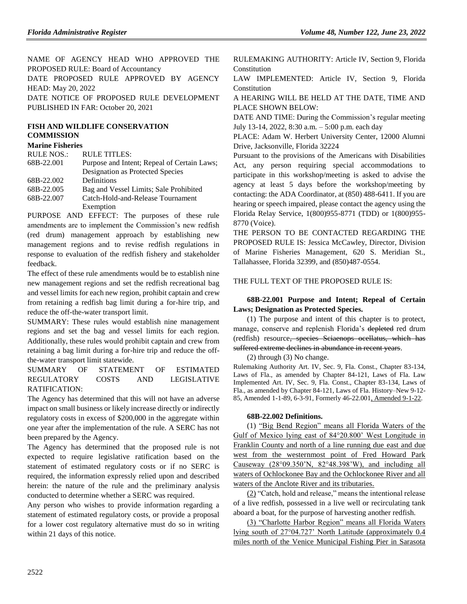NAME OF AGENCY HEAD WHO APPROVED THE PROPOSED RULE: Board of Accountancy DATE PROPOSED RULE APPROVED BY AGENCY HEAD: May 20, 2022 DATE NOTICE OF PROPOSED RULE DEVELOPMENT PUBLISHED IN FAR: October 20, 2021

#### **[FISH AND WILDLIFE CONSERVATION](https://www.flrules.org/gateway/department.asp?id=68)  [COMMISSION](https://www.flrules.org/gateway/department.asp?id=68)**

#### **[Marine Fisheries](https://www.flrules.org/gateway/organization.asp?id=348)**

| <b>RULE NOS.:</b> | <b>RULE TITLES:</b>                         |
|-------------------|---------------------------------------------|
| 68B-22.001        | Purpose and Intent; Repeal of Certain Laws; |
|                   | Designation as Protected Species            |
| 68B-22.002        | Definitions                                 |
| 68B-22.005        | Bag and Vessel Limits; Sale Prohibited      |
| 68B-22.007        | Catch-Hold-and-Release Tournament           |
|                   | Exemption                                   |
| <b>DIDDOCD</b>    | <u>rrrram</u>                               |

PURPOSE AND EFFECT: The purposes of these rule amendments are to implement the Commission's new redfish (red drum) management approach by establishing new management regions and to revise redfish regulations in response to evaluation of the redfish fishery and stakeholder feedback.

The effect of these rule amendments would be to establish nine new management regions and set the redfish recreational bag and vessel limits for each new region, prohibit captain and crew from retaining a redfish bag limit during a for-hire trip, and reduce the off-the-water transport limit.

SUMMARY: These rules would establish nine management regions and set the bag and vessel limits for each region. Additionally, these rules would prohibit captain and crew from retaining a bag limit during a for-hire trip and reduce the offthe-water transport limit statewide.

#### SUMMARY OF STATEMENT OF ESTIMATED REGULATORY COSTS AND LEGISLATIVE RATIFICATION:

The Agency has determined that this will not have an adverse impact on small business or likely increase directly or indirectly regulatory costs in excess of \$200,000 in the aggregate within one year after the implementation of the rule. A SERC has not been prepared by the Agency.

The Agency has determined that the proposed rule is not expected to require legislative ratification based on the statement of estimated regulatory costs or if no SERC is required, the information expressly relied upon and described herein: the nature of the rule and the preliminary analysis conducted to determine whether a SERC was required.

Any person who wishes to provide information regarding a statement of estimated regulatory costs, or provide a proposal for a lower cost regulatory alternative must do so in writing within 21 days of this notice.

RULEMAKING AUTHORITY: [Article IV, Section 9, Florida](https://www.flrules.org/gateway/flconstitution.asp?id=Article%20IV,%20Section%209,%20Florida%20Constitution)  **[Constitution](https://www.flrules.org/gateway/flconstitution.asp?id=Article%20IV,%20Section%209,%20Florida%20Constitution)** 

LAW IMPLEMENTED: [Article IV, Section 9, Florida](https://www.flrules.org/gateway/flconstitution.asp?id=Article%20IV,%20Section%209,%20Florida%20Constitution)  [Constitution](https://www.flrules.org/gateway/flconstitution.asp?id=Article%20IV,%20Section%209,%20Florida%20Constitution)

A HEARING WILL BE HELD AT THE DATE, TIME AND PLACE SHOWN BELOW:

DATE AND TIME: During the Commission's regular meeting July 13-14, 2022, 8:30 a.m. – 5:00 p.m. each day

PLACE: Adam W. Herbert University Center, 12000 Alumni Drive, Jacksonville, Florida 32224

Pursuant to the provisions of the Americans with Disabilities Act, any person requiring special accommodations to participate in this workshop/meeting is asked to advise the agency at least 5 days before the workshop/meeting by contacting: the ADA Coordinator, at (850) 488-6411. If you are hearing or speech impaired, please contact the agency using the Florida Relay Service, 1(800)955-8771 (TDD) or 1(800)955- 8770 (Voice).

THE PERSON TO BE CONTACTED REGARDING THE PROPOSED RULE IS: Jessica McCawley, Director, Division of Marine Fisheries Management, 620 S. Meridian St., Tallahassee, Florida 32399, and (850)487-0554.

## THE FULL TEXT OF THE PROPOSED RULE IS:

#### **68B-22.001 Purpose and Intent; Repeal of Certain Laws; Designation as Protected Species.**

(1) The purpose and intent of this chapter is to protect, manage, conserve and replenish Florida's depleted red drum (redfish) resource, species Sciaenops ocellatus, which has suffered extreme declines in abundance in recent years.

(2) through (3) No change.

Rulemaking Authority Art. IV, Sec. 9, Fla. Const., Chapter 83-134, Laws of Fla., as amended by Chapter 84-121, Laws of Fla. Law Implemented Art. IV, Sec. 9, Fla. Const., Chapter 83-134, Laws of Fla., as amended by Chapter 84-121, Laws of Fla. History–New 9-12- 85, Amended 1-1-89, 6-3-91, Formerly 46-22.001, Amended 9-1-22.

#### **68B-22.002 Definitions.**

(1) "Big Bend Region" means all Florida Waters of the Gulf of Mexico lying east of 84°20.800' West Longitude in Franklin County and north of a line running due east and due west from the westernmost point of Fred Howard Park Causeway (28°09.350'N, 82°48.398'W), and including all waters of Ochlockonee Bay and the Ochlockonee River and all waters of the Anclote River and its tributaries.

(2) "Catch, hold and release," means the intentional release of a live redfish, possessed in a live well or recirculating tank aboard a boat, for the purpose of harvesting another redfish.

(3) "Charlotte Harbor Region" means all Florida Waters lying south of 27°04.727' North Latitude (approximately 0.4 miles north of the Venice Municipal Fishing Pier in Sarasota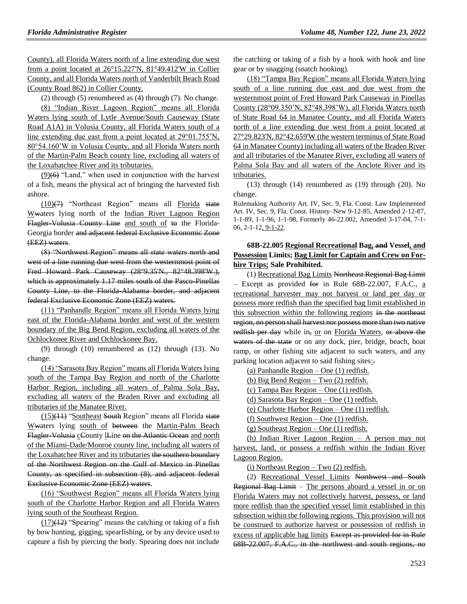County), all Florida Waters north of a line extending due west from a point located at 26°15.227'N, 81°49.412'W in Collier County, and all Florida Waters north of Vanderbilt Beach Road (County Road 862) in Collier County.

(2) through (5) renumbered as (4) through (7). No change.

(8) "Indian River Lagoon Region" means all Florida Waters lying south of Lytle Avenue/South Causeway (State Road A1A) in Volusia County, all Florida Waters south of a line extending due east from a point located at 29°01.755'N, 80°54.160'W in Volusia County, and all Florida Waters north of the Martin-Palm Beach county line, excluding all waters of the Loxahatchee River and its tributaries.

 $(9)$ (6) "Land," when used in conjunction with the harvest of a fish, means the physical act of bringing the harvested fish ashore.

(10)(7) "Northeast Region" means all Florida state Wwaters lying north of the Indian River Lagoon Region Flagler-Volusia County Line and south of to the Florida-Georgia border and adjacent federal Exclusive Economic Zone (EEZ) waters.

(8) "Northwest Region" means all state waters north and west of a line running due west from the westernmost point of Fred Howard Park Causeway (28°9.35'N., 82°48.398'W.), which is approximately 1.17 miles south of the Pasco-Pinellas County Line, to the Florida-Alabama border, and adjacent federal Exclusive Economic Zone (EEZ) waters.

(11) "Panhandle Region" means all Florida Waters lying east of the Florida-Alabama border and west of the western boundary of the Big Bend Region, excluding all waters of the Ochlockonee River and Ochlockonee Bay.

(9) through (10) renumbered as (12) through (13). No change.

(14) "Sarasota Bay Region" means all Florida Waters lying south of the Tampa Bay Region and north of the Charlotte Harbor Region, including all waters of Palma Sola Bay, excluding all waters of the Braden River and excluding all tributaries of the Manatee River.

 $(15)(11)$  "Southeast South Region" means all Florida state Wwaters lying south of between the Martin-Palm Beach Flagler-Volusia cCounty Line on the Atlantic Ocean and north of the Miami-Dade/Monroe county line, including all waters of the Loxahatchee River and its tributaries the southern boundary of the Northwest Region on the Gulf of Mexico in Pinellas County, as specified in subsection (8), and adjacent federal Exclusive Economic Zone (EEZ) waters.

(16) "Southwest Region" means all Florida Waters lying south of the Charlotte Harbor Region and all Florida Waters lying south of the Southeast Region.

 $(17)(12)$  "Spearing" means the catching or taking of a fish by bow hunting, gigging, spearfishing, or by any device used to capture a fish by piercing the body. Spearing does not include the catching or taking of a fish by a hook with hook and line gear or by snagging (snatch hooking).

(18) "Tampa Bay Region" means all Florida Waters lying south of a line running due east and due west from the westernmost point of Fred Howard Park Causeway in Pinellas County (28°09.350'N, 82°48.398'W), all Florida Waters north of State Road 64 in Manatee County, and all Florida Waters north of a line extending due west from a point located at 27°29.823'N, 82°42.659'W (the western terminus of State Road 64 in Manatee County) including all waters of the Braden River and all tributaries of the Manatee River, excluding all waters of Palma Sola Bay and all waters of the Anclote River and its tributaries.

(13) through (14) renumbered as (19) through (20). No change.

Rulemaking Authority Art. IV, Sec. 9, Fla. Const. Law Implemented Art. IV, Sec. 9, Fla. Const. History–New 9-12-85, Amended 2-12-87, 1-1-89, 1-1-96, 1-1-98, Formerly 46-22.002, Amended 3-17-04, 7-1- 06, 2-1-12, 9-1-22.

### **68B-22.005 Regional Recreational Bag, and Vessel, and Possession Limits; Bag Limit for Captain and Crew on Forhire Trips; Sale Prohibited.**

(1) Recreational Bag Limits Northeast Regional Bag Limit – Except as provided for in Rule 68B-22.007, F.A.C., a recreational harvester may not harvest or land per day or possess more redfish than the specified bag limit established in this subsection within the following regions in the northeast region, no person shall harvest nor possess more than two native redfish per day while in, or on Florida Waters, or above the waters of the state or on any dock, pier, bridge, beach, boat ramp, or other fishing site adjacent to such waters, and any parking location adjacent to said fishing sites:

(a) Panhandle Region – One (1) redfish.

(b) Big Bend Region – Two (2) redfish.

(c) Tampa Bay Region – One (1) redfish.

(d) Sarasota Bay Region – One (1) redfish.

(e) Charlotte Harbor Region – One (1) redfish.

(f) Southwest Region – One (1) redfish.

(g) Southeast Region – One (1) redfish.

(h) Indian River Lagoon Region – A person may not harvest, land, or possess a redfish within the Indian River Lagoon Region.

(i) Northeast Region – Two (2) redfish.

(2) Recreational Vessel Limits Northwest and South Regional Bag Limit – The persons aboard a vessel in or on Florida Waters may not collectively harvest, possess, or land more redfish than the specified vessel limit established in this subsection within the following regions. This provision will not be construed to authorize harvest or possession of redfish in excess of applicable bag limits Except as provided for in Rule 68B-22.007, F.A.C., in the northwest and south regions, no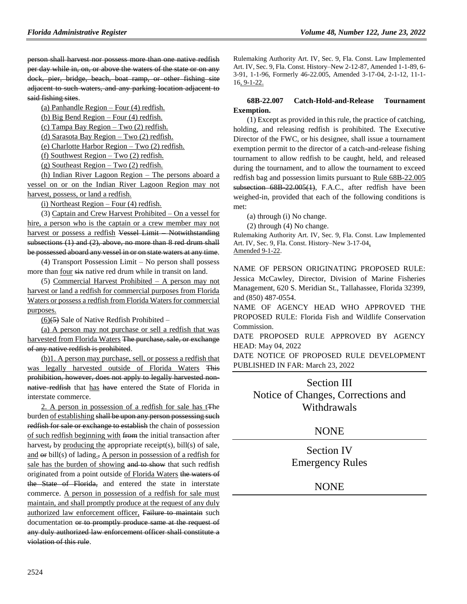person shall harvest nor possess more than one native redfish per day while in, on, or above the waters of the state or on any dock, pier, bridge, beach, boat ramp, or other fishing site adjacent to such waters, and any parking location adjacent to said fishing sites.

(a) Panhandle Region – Four (4) redfish.

(b) Big Bend Region – Four (4) redfish.

(c) Tampa Bay Region – Two (2) redfish.

(d) Sarasota Bay Region – Two (2) redfish.

(e) Charlotte Harbor Region – Two (2) redfish.

(f) Southwest Region – Two (2) redfish.

(g) Southeast Region – Two (2) redfish.

(h) Indian River Lagoon Region – The persons aboard a vessel on or on the Indian River Lagoon Region may not harvest, possess, or land a redfish.

(i) Northeast Region – Four (4) redfish.

(3) Captain and Crew Harvest Prohibited – On a vessel for hire, a person who is the captain or a crew member may not harvest or possess a redfish Vessel Limit – Notwithstanding subsections (1) and (2), above, no more than 8 red drum shall be possessed aboard any vessel in or on state waters at any time.

(4) Transport Possession Limit – No person shall possess more than four six native red drum while in transit on land.

(5) Commercial Harvest Prohibited – A person may not harvest or land a redfish for commercial purposes from Florida Waters or possess a redfish from Florida Waters for commercial purposes.

 $(6)(5)$  Sale of Native Redfish Prohibited –

(a) A person may not purchase or sell a redfish that was harvested from Florida Waters The purchase, sale, or exchange of any native redfish is prohibited.

(b)1. A person may purchase, sell, or possess a redfish that was legally harvested outside of Florida Waters This prohibition, however, does not apply to legally harvested nonnative redfish that has have entered the State of Florida in interstate commerce.

2. A person in possession of a redfish for sale has tThe burden of establishing shall be upon any person possessing such redfish for sale or exchange to establish the chain of possession of such redfish beginning with from the initial transaction after harvest, by producing the appropriate receipt(s), bill(s) of sale, and or bill(s) of lading., A person in possession of a redfish for sale has the burden of showing and to show that such redfish originated from a point outside of Florida Waters the waters of the State of Florida, and entered the state in interstate commerce. A person in possession of a redfish for sale must maintain, and shall promptly produce at the request of any duly authorized law enforcement officer, Failure to maintain such documentation or to promptly produce same at the request of any duly authorized law enforcement officer shall constitute a violation of this rule.

Rulemaking Authority Art. IV, Sec. 9, Fla. Const. Law Implemented Art. IV, Sec. 9, Fla. Const. History–New 2-12-87, Amended 1-1-89, 6- 3-91, 1-1-96, Formerly 46-22.005, Amended 3-17-04, 2-1-12, 11-1- 16, 9-1-22.

## **68B-22.007 Catch-Hold-and-Release Tournament Exemption.**

(1) Except as provided in this rule, the practice of catching, holding, and releasing redfish is prohibited. The Executive Director of the FWC, or his designee, shall issue a tournament exemption permit to the director of a catch-and-release fishing tournament to allow redfish to be caught, held, and released during the tournament, and to allow the tournament to exceed redfish bag and possession limits pursuant to Rule 68B-22.005 subsection 68B 22.005(1), F.A.C., after redfish have been weighed-in, provided that each of the following conditions is met:

(a) through (i) No change.

(2) through (4) No change.

Rulemaking Authority Art. IV, Sec. 9, Fla. Const. Law Implemented Art. IV, Sec. 9, Fla. Const. History–New 3-17-04, Amended 9-1-22.

NAME OF PERSON ORIGINATING PROPOSED RULE: Jessica McCawley, Director, Division of Marine Fisheries Management, 620 S. Meridian St., Tallahassee, Florida 32399, and (850) 487-0554.

NAME OF AGENCY HEAD WHO APPROVED THE PROPOSED RULE: Florida Fish and Wildlife Conservation Commission.

DATE PROPOSED RULE APPROVED BY AGENCY HEAD: May 04, 2022

DATE NOTICE OF PROPOSED RULE DEVELOPMENT PUBLISHED IN FAR: March 23, 2022

Section III Notice of Changes, Corrections and Withdrawals

## NONE

Section IV Emergency Rules

**NONE**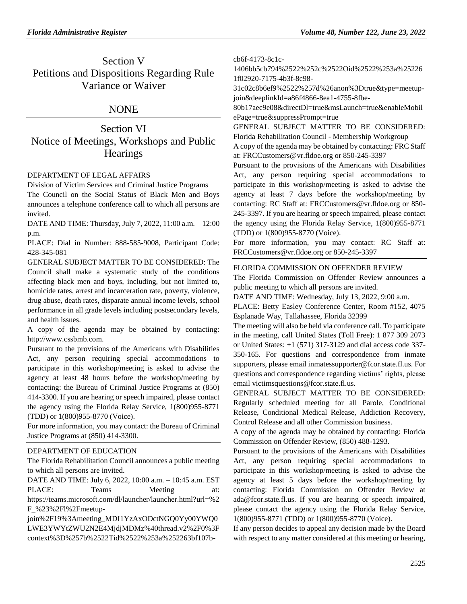## Section V Petitions and Dispositions Regarding Rule Variance or Waiver

## **NONE**

Section VI Notice of Meetings, Workshops and Public **Hearings** 

### [DEPARTMENT OF LEGAL AFFAIRS](https://www.flrules.org/gateway/department.asp?id=2)

[Division of Victim Services and Criminal Justice Programs](https://www.flrules.org/gateway/organization.asp?id=48) The Council on the Social Status of Black Men and Boys announces a telephone conference call to which all persons are invited.

DATE AND TIME: Thursday, July 7, 2022, 11:00 a.m. – 12:00 p.m.

PLACE: Dial in Number: 888-585-9008, Participant Code: 428-345-081

GENERAL SUBJECT MATTER TO BE CONSIDERED: The Council shall make a systematic study of the conditions affecting black men and boys, including, but not limited to, homicide rates, arrest and incarceration rate, poverty, violence, drug abuse, death rates, disparate annual income levels, school performance in all grade levels including postsecondary levels, and health issues.

A copy of the agenda may be obtained by contacting: http://www.cssbmb.com.

Pursuant to the provisions of the Americans with Disabilities Act, any person requiring special accommodations to participate in this workshop/meeting is asked to advise the agency at least 48 hours before the workshop/meeting by contacting: the Bureau of Criminal Justice Programs at (850) 414-3300. If you are hearing or speech impaired, please contact the agency using the Florida Relay Service, 1(800)955-8771 (TDD) or 1(800)955-8770 (Voice).

For more information, you may contact: the Bureau of Criminal Justice Programs at (850) 414-3300.

#### [DEPARTMENT OF EDUCATION](https://www.flrules.org/gateway/department.asp?id=6)

The Florida Rehabilitation Council announces a public meeting to which all persons are invited.

DATE AND TIME: July 6, 2022, 10:00 a.m. – 10:45 a.m. EST PLACE: Teams Meeting at: https://teams.microsoft.com/dl/launcher/launcher.html?url=%2 F\_%23%2Fl%2Fmeetup-

join%2F19%3Ameeting\_MDI1YzAxODctNGQ0Yy00YWQ0 LWE3YWYtZWU2N2E4MjdjMDMz%40thread.v2%2F0%3F context%3D%257b%2522Tid%2522%253a%252263bf107bcb6f-4173-8c1c-

1406bb5cb794%2522%252c%2522Oid%2522%253a%25226 1f02920-7175-4b3f-8c98-

31c02c8b6ef9%2522%257d%26anon%3Dtrue&type=meetupjoin&deeplinkId=a86f4866-8ea1-4755-8fbe-

80b17aec9e08&directDl=true&msLaunch=true&enableMobil ePage=true&suppressPrompt=true

GENERAL SUBJECT MATTER TO BE CONSIDERED: Florida Rehabilitation Council - Membership Workgroup

A copy of the agenda may be obtained by contacting: FRC Staff at: FRCCustomers@vr.fldoe.org or 850-245-3397

Pursuant to the provisions of the Americans with Disabilities Act, any person requiring special accommodations to participate in this workshop/meeting is asked to advise the agency at least 7 days before the workshop/meeting by contacting: RC Staff at: FRCCustomers@vr.fldoe.org or 850- 245-3397. If you are hearing or speech impaired, please contact the agency using the Florida Relay Service, 1(800)955-8771 (TDD) or 1(800)955-8770 (Voice).

For more information, you may contact: RC Staff at: FRCCustomers@vr.fldoe.org or 850-245-3397

### [FLORIDA COMMISSION ON OFFENDER REVIEW](https://www.flrules.org/gateway/department.asp?id=23)

The Florida Commission on Offender Review announces a public meeting to which all persons are invited.

DATE AND TIME: Wednesday, July 13, 2022, 9:00 a.m.

PLACE: Betty Easley Conference Center, Room #152, 4075 Esplanade Way, Tallahassee, Florida 32399

The meeting will also be held via conference call. To participate in the meeting, call United States (Toll Free): 1 877 309 2073 or United States: +1 (571) 317-3129 and dial access code 337- 350-165. For questions and correspondence from inmate supporters, please email inmatessupporter@fcor.state.fl.us. For questions and correspondence regarding victims' rights, please email victimsquestions@fcor.state.fl.us.

GENERAL SUBJECT MATTER TO BE CONSIDERED: Regularly scheduled meeting for all Parole, Conditional Release, Conditional Medical Release, Addiction Recovery, Control Release and all other Commission business.

A copy of the agenda may be obtained by contacting: Florida Commission on Offender Review, (850) 488-1293.

Pursuant to the provisions of the Americans with Disabilities Act, any person requiring special accommodations to participate in this workshop/meeting is asked to advise the agency at least 5 days before the workshop/meeting by contacting: Florida Commission on Offender Review at ada@fcor.state.fl.us. If you are hearing or speech impaired, please contact the agency using the Florida Relay Service, 1(800)955-8771 (TDD) or 1(800)955-8770 (Voice).

If any person decides to appeal any decision made by the Board with respect to any matter considered at this meeting or hearing,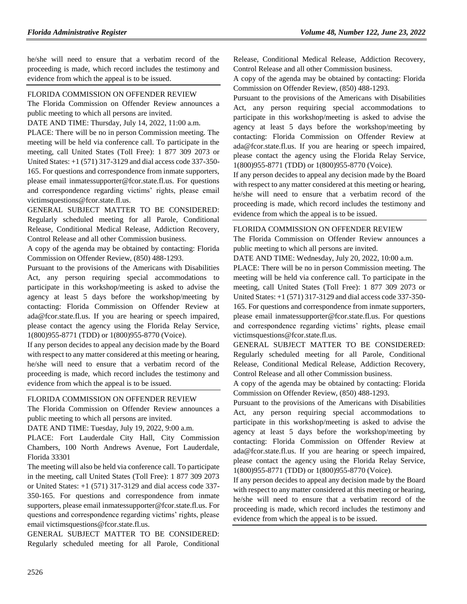he/she will need to ensure that a verbatim record of the proceeding is made, which record includes the testimony and evidence from which the appeal is to be issued.

#### [FLORIDA COMMISSION ON OFFENDER REVIEW](https://www.flrules.org/gateway/department.asp?id=23)

The Florida Commission on Offender Review announces a public meeting to which all persons are invited.

DATE AND TIME: Thursday, July 14, 2022, 11:00 a.m.

PLACE: There will be no in person Commission meeting. The meeting will be held via conference call. To participate in the meeting, call United States (Toll Free): 1 877 309 2073 or United States: +1 (571) 317-3129 and dial access code 337-350- 165. For questions and correspondence from inmate supporters, please email inmatessupporter@fcor.state.fl.us. For questions and correspondence regarding victims' rights, please email victimsquestions@fcor.state.fl.us.

GENERAL SUBJECT MATTER TO BE CONSIDERED: Regularly scheduled meeting for all Parole, Conditional Release, Conditional Medical Release, Addiction Recovery, Control Release and all other Commission business.

A copy of the agenda may be obtained by contacting: Florida Commission on Offender Review, (850) 488-1293.

Pursuant to the provisions of the Americans with Disabilities Act, any person requiring special accommodations to participate in this workshop/meeting is asked to advise the agency at least 5 days before the workshop/meeting by contacting: Florida Commission on Offender Review at ada@fcor.state.fl.us. If you are hearing or speech impaired, please contact the agency using the Florida Relay Service, 1(800)955-8771 (TDD) or 1(800)955-8770 (Voice).

If any person decides to appeal any decision made by the Board with respect to any matter considered at this meeting or hearing, he/she will need to ensure that a verbatim record of the proceeding is made, which record includes the testimony and evidence from which the appeal is to be issued.

#### [FLORIDA COMMISSION ON OFFENDER REVIEW](https://www.flrules.org/gateway/department.asp?id=23)

The Florida Commission on Offender Review announces a public meeting to which all persons are invited.

DATE AND TIME: Tuesday, July 19, 2022, 9:00 a.m.

PLACE: Fort Lauderdale City Hall, City Commission Chambers, 100 North Andrews Avenue, Fort Lauderdale, Florida 33301

The meeting will also be held via conference call. To participate in the meeting, call United States (Toll Free): 1 877 309 2073 or United States: +1 (571) 317-3129 and dial access code 337- 350-165. For questions and correspondence from inmate supporters, please email inmatessupporter@fcor.state.fl.us. For questions and correspondence regarding victims' rights, please email victimsquestions@fcor.state.fl.us.

GENERAL SUBJECT MATTER TO BE CONSIDERED: Regularly scheduled meeting for all Parole, Conditional Release, Conditional Medical Release, Addiction Recovery, Control Release and all other Commission business.

A copy of the agenda may be obtained by contacting: Florida Commission on Offender Review, (850) 488-1293.

Pursuant to the provisions of the Americans with Disabilities Act, any person requiring special accommodations to participate in this workshop/meeting is asked to advise the agency at least 5 days before the workshop/meeting by contacting: Florida Commission on Offender Review at ada@fcor.state.fl.us. If you are hearing or speech impaired, please contact the agency using the Florida Relay Service, 1(800)955-8771 (TDD) or 1(800)955-8770 (Voice).

If any person decides to appeal any decision made by the Board with respect to any matter considered at this meeting or hearing, he/she will need to ensure that a verbatim record of the proceeding is made, which record includes the testimony and evidence from which the appeal is to be issued.

#### [FLORIDA COMMISSION ON OFFENDER REVIEW](https://www.flrules.org/gateway/department.asp?id=23)

The Florida Commission on Offender Review announces a public meeting to which all persons are invited.

DATE AND TIME: Wednesday, July 20, 2022, 10:00 a.m.

PLACE: There will be no in person Commission meeting. The meeting will be held via conference call. To participate in the meeting, call United States (Toll Free): 1 877 309 2073 or United States: +1 (571) 317-3129 and dial access code 337-350- 165. For questions and correspondence from inmate supporters, please email inmatessupporter@fcor.state.fl.us. For questions and correspondence regarding victims' rights, please email victimsquestions@fcor.state.fl.us.

GENERAL SUBJECT MATTER TO BE CONSIDERED: Regularly scheduled meeting for all Parole, Conditional Release, Conditional Medical Release, Addiction Recovery, Control Release and all other Commission business.

A copy of the agenda may be obtained by contacting: Florida Commission on Offender Review, (850) 488-1293.

Pursuant to the provisions of the Americans with Disabilities Act, any person requiring special accommodations to participate in this workshop/meeting is asked to advise the agency at least 5 days before the workshop/meeting by contacting: Florida Commission on Offender Review at ada@fcor.state.fl.us. If you are hearing or speech impaired, please contact the agency using the Florida Relay Service, 1(800)955-8771 (TDD) or 1(800)955-8770 (Voice).

If any person decides to appeal any decision made by the Board with respect to any matter considered at this meeting or hearing, he/she will need to ensure that a verbatim record of the proceeding is made, which record includes the testimony and evidence from which the appeal is to be issued.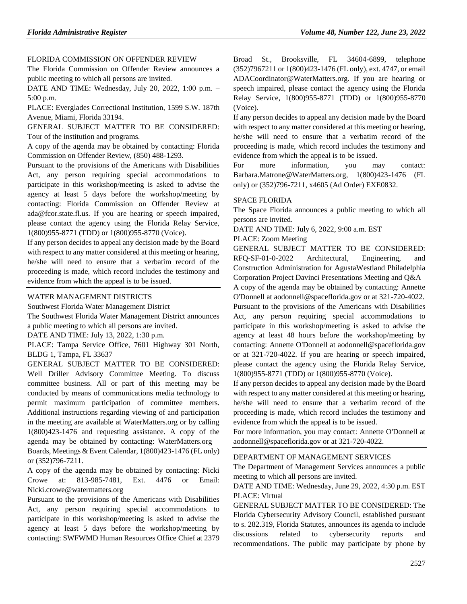### [FLORIDA COMMISSION ON OFFENDER REVIEW](https://www.flrules.org/gateway/department.asp?id=23)

The Florida Commission on Offender Review announces a public meeting to which all persons are invited.

DATE AND TIME: Wednesday, July 20, 2022, 1:00 p.m. – 5:00 p.m.

PLACE: Everglades Correctional Institution, 1599 S.W. 187th Avenue, Miami, Florida 33194.

GENERAL SUBJECT MATTER TO BE CONSIDERED: Tour of the institution and programs.

A copy of the agenda may be obtained by contacting: Florida Commission on Offender Review, (850) 488-1293.

Pursuant to the provisions of the Americans with Disabilities Act, any person requiring special accommodations to participate in this workshop/meeting is asked to advise the agency at least 5 days before the workshop/meeting by contacting: Florida Commission on Offender Review at ada@fcor.state.fl.us. If you are hearing or speech impaired, please contact the agency using the Florida Relay Service, 1(800)955-8771 (TDD) or 1(800)955-8770 (Voice).

If any person decides to appeal any decision made by the Board with respect to any matter considered at this meeting or hearing, he/she will need to ensure that a verbatim record of the proceeding is made, which record includes the testimony and evidence from which the appeal is to be issued.

#### [WATER MANAGEMENT DISTRICTS](https://www.flrules.org/gateway/department.asp?id=40)

[Southwest Florida Water Management District](https://www.flrules.org/gateway/organization.asp?id=123)

The Southwest Florida Water Management District announces a public meeting to which all persons are invited.

DATE AND TIME: July 13, 2022, 1:30 p.m.

PLACE: Tampa Service Office, 7601 Highway 301 North, BLDG 1, Tampa, FL 33637

GENERAL SUBJECT MATTER TO BE CONSIDERED: Well Driller Advisory Committee Meeting. To discuss committee business. All or part of this meeting may be conducted by means of communications media technology to permit maximum participation of committee members. Additional instructions regarding viewing of and participation in the meeting are available at WaterMatters.org or by calling 1(800)423-1476 and requesting assistance. A copy of the agenda may be obtained by contacting: WaterMatters.org – Boards, Meetings & Event Calendar, 1(800)423-1476 (FL only) or (352)796-7211.

A copy of the agenda may be obtained by contacting: Nicki Crowe at: 813-985-7481, Ext. 4476 or Email: Nicki.crowe@watermatters.org

Pursuant to the provisions of the Americans with Disabilities Act, any person requiring special accommodations to participate in this workshop/meeting is asked to advise the agency at least 5 days before the workshop/meeting by contacting: SWFWMD Human Resources Office Chief at 2379

Broad St., Brooksville, FL 34604-6899, telephone (352)7967211 or 1(800)423-1476 (FL only), ext. 4747, or email ADACoordinator@WaterMatters.org. If you are hearing or speech impaired, please contact the agency using the Florida Relay Service, 1(800)955-8771 (TDD) or 1(800)955-8770 (Voice).

If any person decides to appeal any decision made by the Board with respect to any matter considered at this meeting or hearing, he/she will need to ensure that a verbatim record of the proceeding is made, which record includes the testimony and evidence from which the appeal is to be issued.

For more information, you may contact: Barbara.Matrone@WaterMatters.org, 1(800)423-1476 (FL only) or (352)796-7211, x4605 (Ad Order) EXE0832.

#### [SPACE FLORIDA](https://www.flrules.org/gateway/department.asp?id=57)

The Space Florida announces a public meeting to which all persons are invited.

DATE AND TIME: July 6, 2022, 9:00 a.m. EST

#### PLACE: Zoom Meeting

GENERAL SUBJECT MATTER TO BE CONSIDERED: RFQ-SF-01-0-2022 Architectural, Engineering, and Construction Administration for AgustaWestland Philadelphia Corporation Project Davinci Presentations Meeting and Q&A

A copy of the agenda may be obtained by contacting: Annette O'Donnell at aodonnell@spaceflorida.gov or at 321-720-4022. Pursuant to the provisions of the Americans with Disabilities Act, any person requiring special accommodations to participate in this workshop/meeting is asked to advise the agency at least 48 hours before the workshop/meeting by

contacting: Annette O'Donnell at aodonnell@spaceflorida.gov or at 321-720-4022. If you are hearing or speech impaired, please contact the agency using the Florida Relay Service, 1(800)955-8771 (TDD) or 1(800)955-8770 (Voice).

If any person decides to appeal any decision made by the Board with respect to any matter considered at this meeting or hearing, he/she will need to ensure that a verbatim record of the proceeding is made, which record includes the testimony and evidence from which the appeal is to be issued.

For more information, you may contact: Annette O'Donnell at aodonnell@spaceflorida.gov or at 321-720-4022.

#### [DEPARTMENT OF MANAGEMENT SERVICES](https://www.flrules.org/gateway/department.asp?id=60)

The Department of Management Services announces a public meeting to which all persons are invited.

DATE AND TIME: Wednesday, June 29, 2022, 4:30 p.m. EST PLACE: Virtual

GENERAL SUBJECT MATTER TO BE CONSIDERED: The Florida Cybersecurity Advisory Council, established pursuant to s. 282.319, Florida Statutes, announces its agenda to include discussions related to cybersecurity reports and recommendations. The public may participate by phone by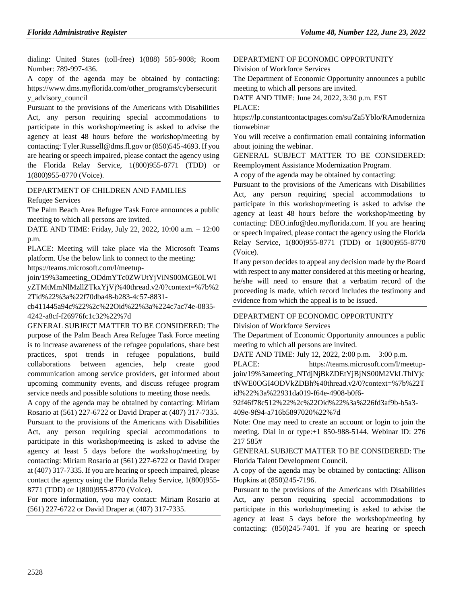dialing: United States (toll-free) 1(888) 585-9008; Room Number: 789-997-436.

A copy of the agenda may be obtained by contacting: https://www.dms.myflorida.com/other\_programs/cybersecurit y\_advisory\_council

Pursuant to the provisions of the Americans with Disabilities Act, any person requiring special accommodations to participate in this workshop/meeting is asked to advise the agency at least 48 hours before the workshop/meeting by contacting: Tyler.Russell@dms.fl.gov or (850)545-4693. If you are hearing or speech impaired, please contact the agency using the Florida Relay Service, 1(800)955-8771 (TDD) or 1(800)955-8770 (Voice).

## [DEPARTMENT OF CHILDREN AND FAMILIES](https://www.flrules.org/gateway/department.asp?id=65)

[Refugee Services](https://www.flrules.org/gateway/organization.asp?id=528)

The Palm Beach Area Refugee Task Force announces a public meeting to which all persons are invited.

DATE AND TIME: Friday, July 22, 2022, 10:00 a.m. – 12:00 p.m.

PLACE: Meeting will take place via the Microsoft Teams platform. Use the below link to connect to the meeting: https://teams.microsoft.com/l/meetup-

join/19%3ameeting\_ODdmYTc0ZWUtYjViNS00MGE0LWI yZTMtMmNlMzllZTkxYjVj%40thread.v2/0?context=%7b%2 2Tid%22%3a%22f70dba48-b283-4c57-8831-

cb411445a94c%22%2c%22Oid%22%3a%224c7ac74e-0835- 4242-a8cf-f26976fc1c32%22%7d

GENERAL SUBJECT MATTER TO BE CONSIDERED: The purpose of the Palm Beach Area Refugee Task Force meeting is to increase awareness of the refugee populations, share best practices, spot trends in refugee populations, build collaborations between agencies, help create good communication among service providers, get informed about upcoming community events, and discuss refugee program service needs and possible solutions to meeting those needs.

A copy of the agenda may be obtained by contacting: Miriam Rosario at (561) 227-6722 or David Draper at (407) 317-7335. Pursuant to the provisions of the Americans with Disabilities Act, any person requiring special accommodations to participate in this workshop/meeting is asked to advise the agency at least 5 days before the workshop/meeting by contacting: Miriam Rosario at (561) 227-6722 or David Draper at (407) 317-7335. If you are hearing or speech impaired, please contact the agency using the Florida Relay Service, 1(800)955- 8771 (TDD) or 1(800)955-8770 (Voice).

For more information, you may contact: Miriam Rosario at (561) 227-6722 or David Draper at (407) 317-7335.

## [DEPARTMENT OF ECONOMIC OPPORTUNITY](https://www.flrules.org/gateway/department.asp?id=73)

[Division of Workforce Services](https://www.flrules.org/gateway/organization.asp?id=1065)

PLACE:

The Department of Economic Opportunity announces a public meeting to which all persons are invited.

DATE AND TIME: June 24, 2022, 3:30 p.m. EST

https://lp.constantcontactpages.com/su/Za5Yblo/RAmoderniza tionwebinar

You will receive a confirmation email containing information about joining the webinar.

GENERAL SUBJECT MATTER TO BE CONSIDERED: Reemployment Assistance Modernization Program.

A copy of the agenda may be obtained by contacting:

Pursuant to the provisions of the Americans with Disabilities Act, any person requiring special accommodations to participate in this workshop/meeting is asked to advise the agency at least 48 hours before the workshop/meeting by contacting: DEO.info@deo.myflorida.com. If you are hearing or speech impaired, please contact the agency using the Florida Relay Service, 1(800)955-8771 (TDD) or 1(800)955-8770 (Voice).

If any person decides to appeal any decision made by the Board with respect to any matter considered at this meeting or hearing, he/she will need to ensure that a verbatim record of the proceeding is made, which record includes the testimony and evidence from which the appeal is to be issued.

## [DEPARTMENT OF ECONOMIC OPPORTUNITY](https://www.flrules.org/gateway/department.asp?id=73)

[Division of Workforce Services](https://www.flrules.org/gateway/organization.asp?id=1065)

The Department of Economic Opportunity announces a public meeting to which all persons are invited.

DATE AND TIME: July 12, 2022, 2:00 p.m. – 3:00 p.m.

PLACE: https://teams.microsoft.com/l/meetupjoin/19%3ameeting\_NTdjNjBkZDEtYjBjNS00M2VkLThlYjc tNWE0OGI4ODVkZDBh%40thread.v2/0?context=%7b%22T id%22%3a%22931da019-f64e-4908-b0f6-

92f46f78c512%22%2c%22Oid%22%3a%226fd3af9b-b5a3- 409e-9f94-a716b5897020%22%7d

Note: One may need to create an account or login to join the meeting. Dial in or type:+1 850-988-5144. Webinar ID: 276 217 585#

GENERAL SUBJECT MATTER TO BE CONSIDERED: The Florida Talent Development Council.

A copy of the agenda may be obtained by contacting: Allison Hopkins at (850)245-7196.

Pursuant to the provisions of the Americans with Disabilities Act, any person requiring special accommodations to participate in this workshop/meeting is asked to advise the agency at least 5 days before the workshop/meeting by contacting: (850)245-7401. If you are hearing or speech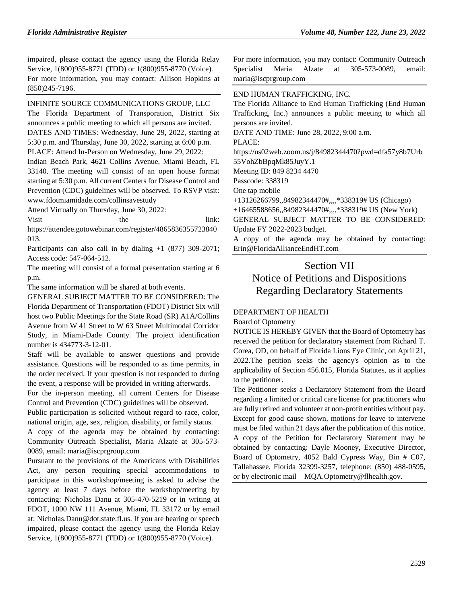impaired, please contact the agency using the Florida Relay Service, 1(800)955-8771 (TDD) or 1(800)955-8770 (Voice). For more information, you may contact: Allison Hopkins at (850)245-7196.

#### [INFINITE SOURCE COMMUNICATIONS GROUP, LLC](https://www.flrules.org/gateway/organization.asp?id=1035)

The Florida Department of Transporation, District Six announces a public meeting to which all persons are invited. DATES AND TIMES: Wednesday, June 29, 2022, starting at 5:30 p.m. and Thursday, June 30, 2022, starting at 6:00 p.m. PLACE: Attend In-Person on Wednesday, June 29, 2022:

Indian Beach Park, 4621 Collins Avenue, Miami Beach, FL 33140. The meeting will consist of an open house format starting at 5:30 p.m. All current Centers for Disease Control and Prevention (CDC) guidelines will be observed. To RSVP visit: www.fdotmiamidade.com/collinsavestudy

Attend Virtually on Thursday, June 30, 2022:

Visit the link:

https://attendee.gotowebinar.com/register/4865836355723840 013.

Participants can also call in by dialing +1 (877) 309-2071; Access code: 547-064-512.

The meeting will consist of a formal presentation starting at 6 p.m.

The same information will be shared at both events.

GENERAL SUBJECT MATTER TO BE CONSIDERED: The Florida Department of Transportation (FDOT) District Six will host two Public Meetings for the State Road (SR) A1A/Collins Avenue from W 41 Street to W 63 Street Multimodal Corridor Study, in Miami-Dade County. The project identification number is 434773-3-12-01.

Staff will be available to answer questions and provide assistance. Questions will be responded to as time permits, in the order received. If your question is not responded to during the event, a response will be provided in writing afterwards.

For the in-person meeting, all current Centers for Disease Control and Prevention (CDC) guidelines will be observed.

Public participation is solicited without regard to race, color, national origin, age, sex, religion, disability, or family status.

A copy of the agenda may be obtained by contacting: Community Outreach Specialist, Maria Alzate at 305-573- 0089, email: maria@iscprgroup.com

Pursuant to the provisions of the Americans with Disabilities Act, any person requiring special accommodations to participate in this workshop/meeting is asked to advise the agency at least 7 days before the workshop/meeting by contacting: Nicholas Danu at 305-470-5219 or in writing at FDOT, 1000 NW 111 Avenue, Miami, FL 33172 or by email at: Nicholas.Danu@dot.state.fl.us. If you are hearing or speech impaired, please contact the agency using the Florida Relay Service, 1(800)955-8771 (TDD) or 1(800)955-8770 (Voice).

For more information, you may contact: Community Outreach Specialist Maria Alzate at 305-573-0089, email: maria@iscprgroup.com

#### [END HUMAN TRAFFICKING, INC.](https://www.flrules.org/gateway/organization.asp?id=1381)

The Florida Alliance to End Human Trafficking (End Human Trafficking, Inc.) announces a public meeting to which all persons are invited.

DATE AND TIME: June 28, 2022, 9:00 a.m.

PLACE:

https://us02web.zoom.us/j/84982344470?pwd=dfa57y8b7Urb 55VohZbBpqMk85JuyY.1

Meeting ID: 849 8234 4470

Passcode: 338319

One tap mobile

+13126266799,,84982344470#,,,,\*338319# US (Chicago)

+16465588656,,84982344470#,,,,\*338319# US (New York)

GENERAL SUBJECT MATTER TO BE CONSIDERED: Update FY 2022-2023 budget.

A copy of the agenda may be obtained by contacting: Erin@FloridaAllianceEndHT.com

# Section VII Notice of Petitions and Dispositions Regarding Declaratory Statements

#### [DEPARTMENT OF HEALTH](https://www.flrules.org/gateway/department.asp?id=64)

[Board of Optometry](https://www.flrules.org/gateway/organization.asp?id=304)

NOTICE IS HEREBY GIVEN that the Board of Optometry has received the petition for declaratory statement from Richard T. Corea, OD, on behalf of Florida Lions Eye Clinic, on April 21, 2022.The petition seeks the agency's opinion as to the applicability of Section 456.015, Florida Statutes, as it applies to the petitioner.

The Petitioner seeks a Declaratory Statement from the Board regarding a limited or critical care license for practitioners who are fully retired and volunteer at non-profit entities without pay. Except for good cause shown, motions for leave to intervene must be filed within 21 days after the publication of this notice. A copy of the Petition for Declaratory Statement may be obtained by contacting: Dayle Mooney, Executive Director, Board of Optometry, 4052 Bald Cypress Way, Bin # C07, Tallahassee, Florida 32399-3257, telephone: (850) 488-0595, or by electronic mail – MQA.Optometry@flhealth.gov.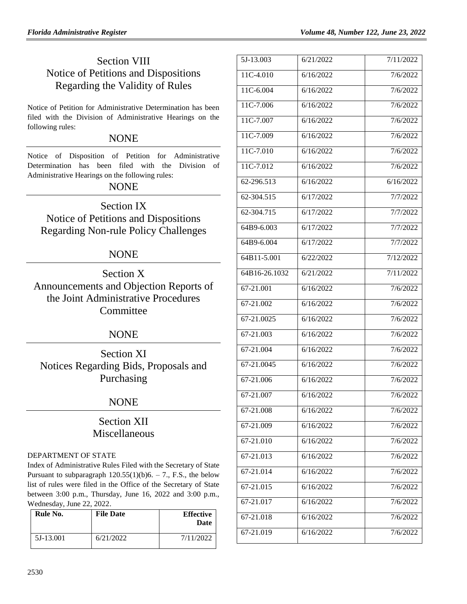# Section VIII Notice of Petitions and Dispositions Regarding the Validity of Rules

Notice of Petition for Administrative Determination has been filed with the Division of Administrative Hearings on the following rules:

## **NONE**

Notice of Disposition of Petition for Administrative Determination has been filed with the Division of Administrative Hearings on the following rules:

## NONE

Section IX Notice of Petitions and Dispositions Regarding Non-rule Policy Challenges

## NONE

Section X Announcements and Objection Reports of the Joint Administrative Procedures **Committee** 

## NONE

Section XI Notices Regarding Bids, Proposals and Purchasing

# NONE

# Section XII Miscellaneous

## [DEPARTMENT OF STATE](https://www.flrules.org/gateway/department.asp?id=1)

Index of Administrative Rules Filed with the Secretary of State Pursuant to subparagraph  $120.55(1)(b)6. - 7$ ., F.S., the below list of rules were filed in the Office of the Secretary of State between 3:00 p.m., Thursday, June 16, 2022 and 3:00 p.m., Wednesday, June 22, 2022.

| Rule No.  | <b>File Date</b> | <b>Effective</b><br>Date |
|-----------|------------------|--------------------------|
| 5J-13.001 | 6/21/2022        | 7/11/2022                |

| 5J-13.003     | 6/21/2022 | 7/11/2022 |
|---------------|-----------|-----------|
| 11C-4.010     | 6/16/2022 | 7/6/2022  |
| 11C-6.004     | 6/16/2022 | 7/6/2022  |
| 11C-7.006     | 6/16/2022 | 7/6/2022  |
| 11C-7.007     | 6/16/2022 | 7/6/2022  |
| 11C-7.009     | 6/16/2022 | 7/6/2022  |
| $11C-7.010$   | 6/16/2022 | 7/6/2022  |
| 11C-7.012     | 6/16/2022 | 7/6/2022  |
| 62-296.513    | 6/16/2022 | 6/16/2022 |
| 62-304.515    | 6/17/2022 | 7/7/2022  |
| 62-304.715    | 6/17/2022 | 7/7/2022  |
| 64B9-6.003    | 6/17/2022 | 7/7/2022  |
| 64B9-6.004    | 6/17/2022 | 7/7/2022  |
| 64B11-5.001   | 6/22/2022 | 7/12/2022 |
| 64B16-26.1032 | 6/21/2022 | 7/11/2022 |
| 67-21.001     | 6/16/2022 | 7/6/2022  |
| 67-21.002     | 6/16/2022 | 7/6/2022  |
| 67-21.0025    | 6/16/2022 | 7/6/2022  |
| 67-21.003     | 6/16/2022 | 7/6/2022  |
| 67-21.004     | 6/16/2022 | 7/6/2022  |
| 67-21.0045    | 6/16/2022 | 7/6/2022  |
| 67-21.006     | 6/16/2022 | 7/6/2022  |
| 67-21.007     | 6/16/2022 | 7/6/2022  |
| 67-21.008     | 6/16/2022 | 7/6/2022  |
| 67-21.009     | 6/16/2022 | 7/6/2022  |
| 67-21.010     | 6/16/2022 | 7/6/2022  |
| 67-21.013     | 6/16/2022 | 7/6/2022  |
| 67-21.014     | 6/16/2022 | 7/6/2022  |
| 67-21.015     | 6/16/2022 | 7/6/2022  |
| 67-21.017     | 6/16/2022 | 7/6/2022  |
| 67-21.018     | 6/16/2022 | 7/6/2022  |
| 67-21.019     | 6/16/2022 | 7/6/2022  |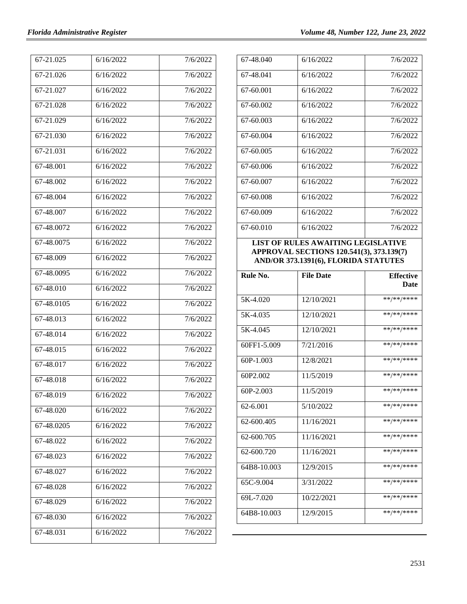| 67-21.025                | 6/16/2022 | 7/6/2022 |
|--------------------------|-----------|----------|
| 67-21.026                | 6/16/2022 | 7/6/2022 |
| 67-21.027                | 6/16/2022 | 7/6/2022 |
| 67-21.028                | 6/16/2022 | 7/6/2022 |
| 67-21.029                | 6/16/2022 | 7/6/2022 |
| 67-21.030                | 6/16/2022 | 7/6/2022 |
| 67-21.031                | 6/16/2022 | 7/6/2022 |
| $67 - 48.001$            | 6/16/2022 | 7/6/2022 |
| 67-48.002                | 6/16/2022 | 7/6/2022 |
| 67-48.004                | 6/16/2022 | 7/6/2022 |
| 67-48.007                | 6/16/2022 | 7/6/2022 |
| 67-48.0072               | 6/16/2022 | 7/6/2022 |
| 67-48.0075               | 6/16/2022 | 7/6/2022 |
| 67-48.009                | 6/16/2022 | 7/6/2022 |
| 67-48.0095               | 6/16/2022 | 7/6/2022 |
| 67-48.010                | 6/16/2022 | 7/6/2022 |
| $\overline{67}$ -48.0105 | 6/16/2022 | 7/6/2022 |
| 67-48.013                | 6/16/2022 | 7/6/2022 |
| 67-48.014                | 6/16/2022 | 7/6/2022 |
| 67-48.015                | 6/16/2022 | 7/6/2022 |
| 67-48.017                | 6/16/2022 | 7/6/2022 |
| $\overline{67}$ -48.018  | 6/16/2022 | 7/6/2022 |
| 67-48.019                | 6/16/2022 | 7/6/2022 |
| 67-48.020                | 6/16/2022 | 7/6/2022 |
| 67-48.0205               | 6/16/2022 | 7/6/2022 |
| 67-48.022                | 6/16/2022 | 7/6/2022 |
| 67-48.023                | 6/16/2022 | 7/6/2022 |
| 67-48.027                | 6/16/2022 | 7/6/2022 |
| 67-48.028                | 6/16/2022 | 7/6/2022 |
| 67-48.029                | 6/16/2022 | 7/6/2022 |
| 67-48.030                | 6/16/2022 | 7/6/2022 |
| 67-48.031                | 6/16/2022 | 7/6/2022 |

| 67-48.040 | 6/16/2022 | 7/6/2022 |
|-----------|-----------|----------|
| 67-48.041 | 6/16/2022 | 7/6/2022 |
| 67-60.001 | 6/16/2022 | 7/6/2022 |
| 67-60.002 | 6/16/2022 | 7/6/2022 |
| 67-60.003 | 6/16/2022 | 7/6/2022 |
| 67-60.004 | 6/16/2022 | 7/6/2022 |
| 67-60.005 | 6/16/2022 | 7/6/2022 |
| 67-60.006 | 6/16/2022 | 7/6/2022 |
| 67-60.007 | 6/16/2022 | 7/6/2022 |
| 67-60.008 | 6/16/2022 | 7/6/2022 |
| 67-60.009 | 6/16/2022 | 7/6/2022 |
| 67-60.010 | 6/16/2022 | 7/6/2022 |

### **LIST OF RULES AWAITING LEGISLATIVE APPROVAL SECTIONS 120.541(3), 373.139(7) AND/OR 373.1391(6), FLORIDA STATUTES**

| Rule No.    | <b>File Date</b> | <b>Effective</b><br><b>Date</b> |
|-------------|------------------|---------------------------------|
| 5K-4.020    | 12/10/2021       | **/**/****                      |
| 5K-4.035    | 12/10/2021       | **/**/****                      |
| 5K-4.045    | 12/10/2021       | **/**/****                      |
| 60FF1-5.009 | 7/21/2016        | **/**/****                      |
| 60P-1.003   | 12/8/2021        | **/**/****                      |
| 60P2.002    | 11/5/2019        | **/**/****                      |
| $60P-2.003$ | 11/5/2019        | **/**/****                      |
| 62-6.001    | 5/10/2022        | **/**/****                      |
| 62-600.405  | 11/16/2021       | **/**/****                      |
| 62-600.705  | 11/16/2021       | **/**/****                      |
| 62-600.720  | 11/16/2021       | **/**/****                      |
| 64B8-10.003 | 12/9/2015        | **/**/****                      |
| 65C-9.004   | 3/31/2022        | **/**/****                      |
| 69L-7.020   | 10/22/2021       | **/**/****                      |
| 64B8-10.003 | 12/9/2015        | **/**/****                      |